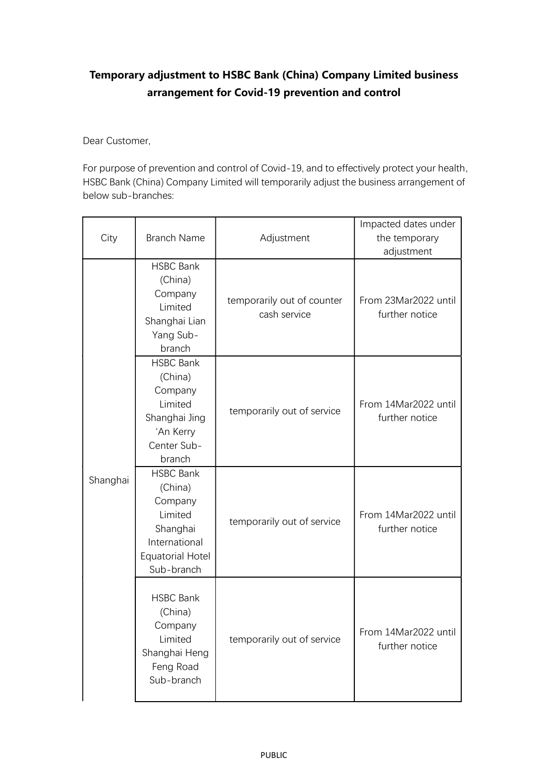## Temporary adjustment to HSBC Bank (China) Company Limited business arrangement for Covid-19 prevention and control

Dear Customer,

For purpose of prevention and control of Covid-19, and to effectively protect your health, HSBC Bank (China) Company Limited will temporarily adjust the business arrangement of below sub-branches:

| City     | <b>Branch Name</b>                                                                                                      | Adjustment                                 | Impacted dates under<br>the temporary<br>adjustment |
|----------|-------------------------------------------------------------------------------------------------------------------------|--------------------------------------------|-----------------------------------------------------|
| Shanghai | <b>HSBC Bank</b><br>(China)<br>Company<br>Limited<br>Shanghai Lian<br>Yang Sub-<br>branch                               | temporarily out of counter<br>cash service | From 23Mar2022 until<br>further notice              |
|          | <b>HSBC Bank</b><br>(China)<br>Company<br>Limited<br>Shanghai Jing<br>'An Kerry<br>Center Sub-<br>branch                | temporarily out of service                 | From 14Mar2022 until<br>further notice              |
|          | <b>HSBC Bank</b><br>(China)<br>Company<br>Limited<br>Shanghai<br>International<br><b>Equatorial Hotel</b><br>Sub-branch | temporarily out of service                 | From 14Mar2022 until<br>further notice              |
|          | <b>HSBC Bank</b><br>(China)<br>Company<br>Limited<br>Shanghai Heng<br>Feng Road<br>Sub-branch                           | temporarily out of service                 | From 14Mar2022 until<br>further notice              |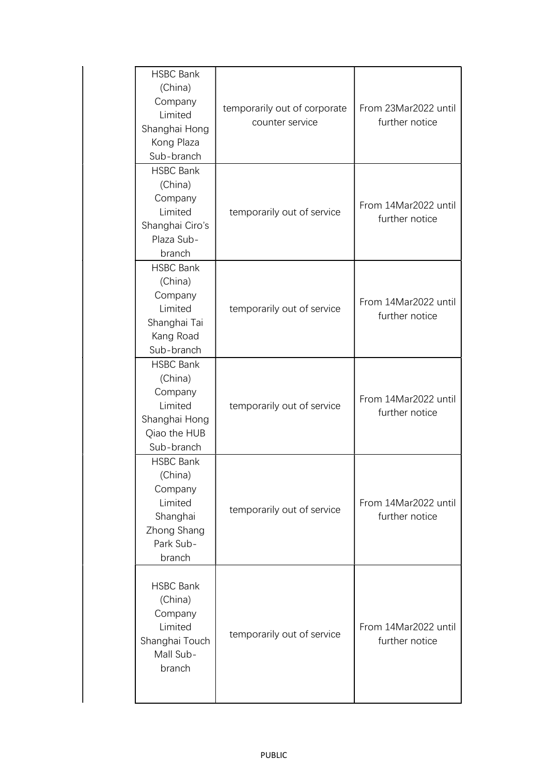| <b>HSBC Bank</b><br>(China)<br>Company<br>Limited<br>Shanghai Hong<br>Kong Plaza<br>Sub-branch      | temporarily out of corporate<br>counter service | From 23Mar2022 until<br>further notice |
|-----------------------------------------------------------------------------------------------------|-------------------------------------------------|----------------------------------------|
| <b>HSBC Bank</b><br>(China)<br>Company<br>Limited<br>Shanghai Ciro's<br>Plaza Sub-<br>branch        | temporarily out of service                      | From 14Mar2022 until<br>further notice |
| <b>HSBC Bank</b><br>(China)<br>Company<br>Limited<br>Shanghai Tai<br>Kang Road<br>Sub-branch        | temporarily out of service                      | From 14Mar2022 until<br>further notice |
| <b>HSBC Bank</b><br>(China)<br>Company<br>Limited<br>Shanghai Hong<br>Qiao the HUB<br>Sub-branch    | temporarily out of service                      | From 14Mar2022 until<br>further notice |
| <b>HSBC Bank</b><br>(China)<br>Company<br>Limited<br>Shanghai<br>Zhong Shang<br>Park Sub-<br>branch | temporarily out of service                      | From 14Mar2022 until<br>further notice |
| <b>HSBC Bank</b><br>(China)<br>Company<br>Limited<br>Shanghai Touch<br>Mall Sub-<br>branch          | temporarily out of service                      | From 14Mar2022 until<br>further notice |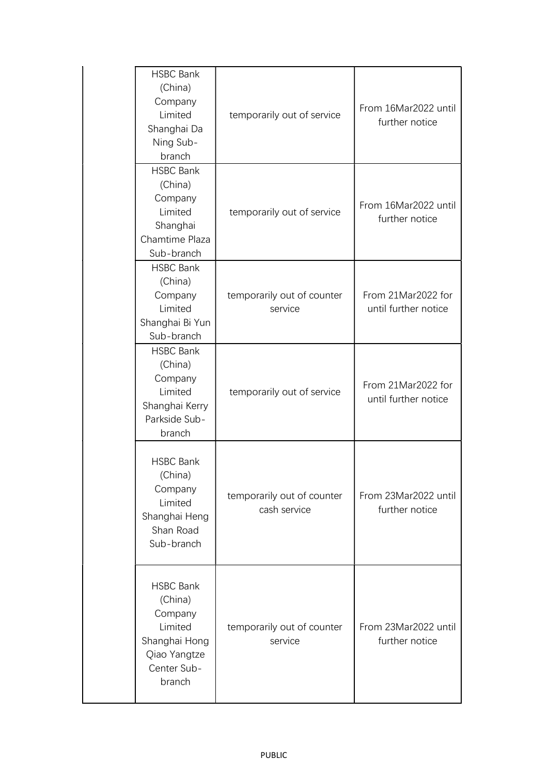| <b>HSBC Bank</b><br>(China)<br>Company<br>Limited<br>Shanghai Da<br>Ning Sub-<br>branch                     | temporarily out of service                 | From 16Mar2022 until<br>further notice     |
|-------------------------------------------------------------------------------------------------------------|--------------------------------------------|--------------------------------------------|
| <b>HSBC Bank</b><br>(China)<br>Company<br>Limited<br>Shanghai<br>Chamtime Plaza<br>Sub-branch               | temporarily out of service                 | From 16Mar2022 until<br>further notice     |
| <b>HSBC Bank</b><br>(China)<br>Company<br>Limited<br>Shanghai Bi Yun<br>Sub-branch                          | temporarily out of counter<br>service      | From 21Mar2022 for<br>until further notice |
| <b>HSBC Bank</b><br>(China)<br>Company<br>Limited<br>Shanghai Kerry<br>Parkside Sub-<br>branch              | temporarily out of service                 | From 21Mar2022 for<br>until further notice |
| <b>HSBC Bank</b><br>(China)<br>Company<br>Limited<br>Shanghai Heng<br>Shan Road<br>Sub-branch               | temporarily out of counter<br>cash service | From 23Mar2022 until<br>further notice     |
| <b>HSBC Bank</b><br>(China)<br>Company<br>Limited<br>Shanghai Hong<br>Qiao Yangtze<br>Center Sub-<br>branch | temporarily out of counter<br>service      | From 23Mar2022 until<br>further notice     |